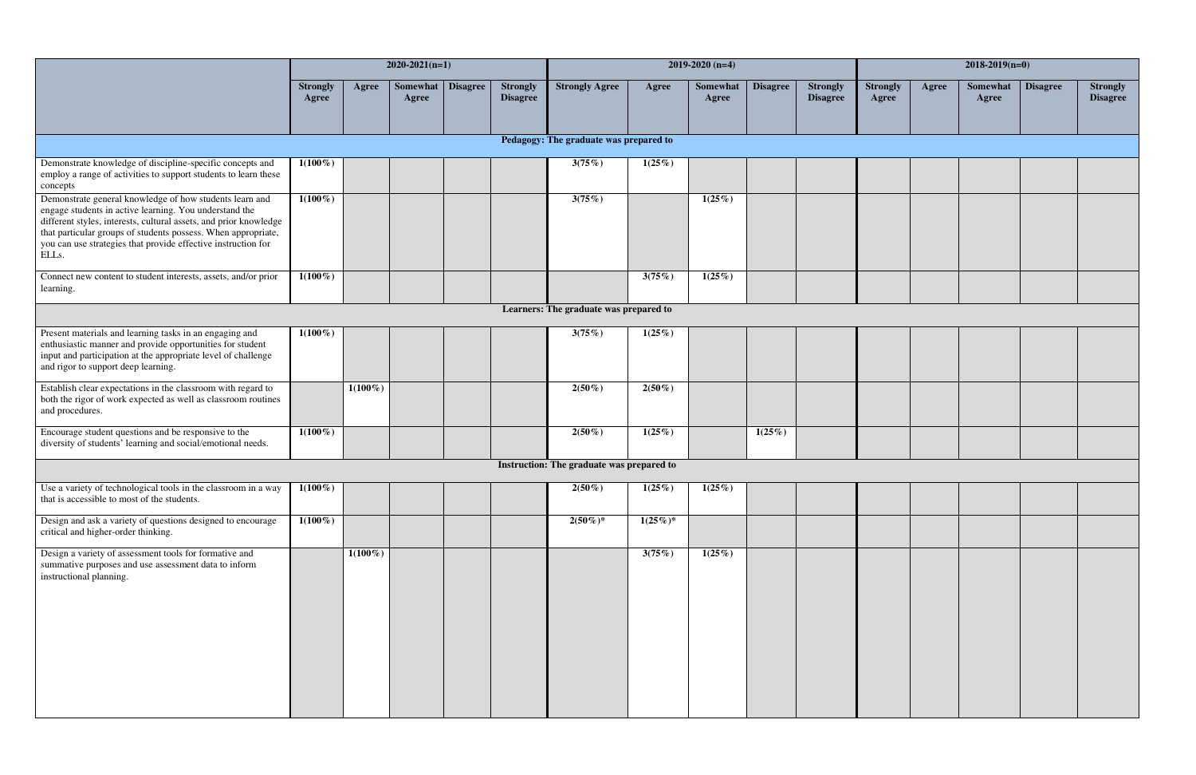|                                                                                                                                                                                                                                                                                                                                   |                          |            | $2020-2021(n=1)$  |          |                                    | $2019 - 2020$ (n=4)                    |             |                   |                 |                                    |                          | $2018 - 2019(n=0)$ |                   |                 |                                    |  |  |
|-----------------------------------------------------------------------------------------------------------------------------------------------------------------------------------------------------------------------------------------------------------------------------------------------------------------------------------|--------------------------|------------|-------------------|----------|------------------------------------|----------------------------------------|-------------|-------------------|-----------------|------------------------------------|--------------------------|--------------------|-------------------|-----------------|------------------------------------|--|--|
|                                                                                                                                                                                                                                                                                                                                   | <b>Strongly</b><br>Agree | Agree      | Somewhat<br>Agree | Disagree | <b>Strongly</b><br><b>Disagree</b> | <b>Strongly Agree</b>                  | Agree       | Somewhat<br>Agree | <b>Disagree</b> | <b>Strongly</b><br><b>Disagree</b> | <b>Strongly</b><br>Agree | Agree              | Somewhat<br>Agree | <b>Disagree</b> | <b>Strongly</b><br><b>Disagree</b> |  |  |
|                                                                                                                                                                                                                                                                                                                                   |                          |            |                   |          |                                    | Pedagogy: The graduate was prepared to |             |                   |                 |                                    |                          |                    |                   |                 |                                    |  |  |
| Demonstrate knowledge of discipline-specific concepts and<br>employ a range of activities to support students to learn these<br>concepts                                                                                                                                                                                          | $1(100\%)$               |            |                   |          |                                    | 3(75%)                                 | 1(25%)      |                   |                 |                                    |                          |                    |                   |                 |                                    |  |  |
| Demonstrate general knowledge of how students learn and<br>engage students in active learning. You understand the<br>different styles, interests, cultural assets, and prior knowledge<br>that particular groups of students possess. When appropriate,<br>you can use strategies that provide effective instruction for<br>ELLs. | $1(100\%)$               |            |                   |          |                                    | 3(75%)                                 |             | $1(25\%)$         |                 |                                    |                          |                    |                   |                 |                                    |  |  |
| Connect new content to student interests, assets, and/or prior<br>learning.                                                                                                                                                                                                                                                       | $1(100\%)$               |            |                   |          |                                    |                                        | 3(75%)      | 1(25%)            |                 |                                    |                          |                    |                   |                 |                                    |  |  |
|                                                                                                                                                                                                                                                                                                                                   |                          |            |                   |          |                                    | Learners: The graduate was prepared to |             |                   |                 |                                    |                          |                    |                   |                 |                                    |  |  |
| Present materials and learning tasks in an engaging and<br>enthusiastic manner and provide opportunities for student<br>input and participation at the appropriate level of challenge<br>and rigor to support deep learning.                                                                                                      | $1(100\%)$               |            |                   |          |                                    | 3(75%)                                 | 1(25%)      |                   |                 |                                    |                          |                    |                   |                 |                                    |  |  |
| Establish clear expectations in the classroom with regard to<br>both the rigor of work expected as well as classroom routines<br>and procedures.                                                                                                                                                                                  |                          | $1(100\%)$ |                   |          |                                    | $2(50\%)$                              | $2(50\%)$   |                   |                 |                                    |                          |                    |                   |                 |                                    |  |  |
| Encourage student questions and be responsive to the<br>diversity of students' learning and social/emotional needs.                                                                                                                                                                                                               | $1(100\%)$               |            |                   |          |                                    | $2(50\%)$                              | 1(25%)      |                   | 1(25%)          |                                    |                          |                    |                   |                 |                                    |  |  |
| Instruction: The graduate was prepared to                                                                                                                                                                                                                                                                                         |                          |            |                   |          |                                    |                                        |             |                   |                 |                                    |                          |                    |                   |                 |                                    |  |  |
| Use a variety of technological tools in the classroom in a way<br>that is accessible to most of the students.                                                                                                                                                                                                                     | $1(100\%)$               |            |                   |          |                                    | $2(50\%)$                              | 1(25%)      | $1(25\%)$         |                 |                                    |                          |                    |                   |                 |                                    |  |  |
| Design and ask a variety of questions designed to encourage<br>critical and higher-order thinking.                                                                                                                                                                                                                                | $1(100\%)$               |            |                   |          |                                    | $2(50\%)*$                             | $1(25\%)^*$ |                   |                 |                                    |                          |                    |                   |                 |                                    |  |  |
| Design a variety of assessment tools for formative and<br>summative purposes and use assessment data to inform<br>instructional planning.                                                                                                                                                                                         |                          | $1(100\%)$ |                   |          |                                    |                                        | 3(75%)      | 1(25%)            |                 |                                    |                          |                    |                   |                 |                                    |  |  |